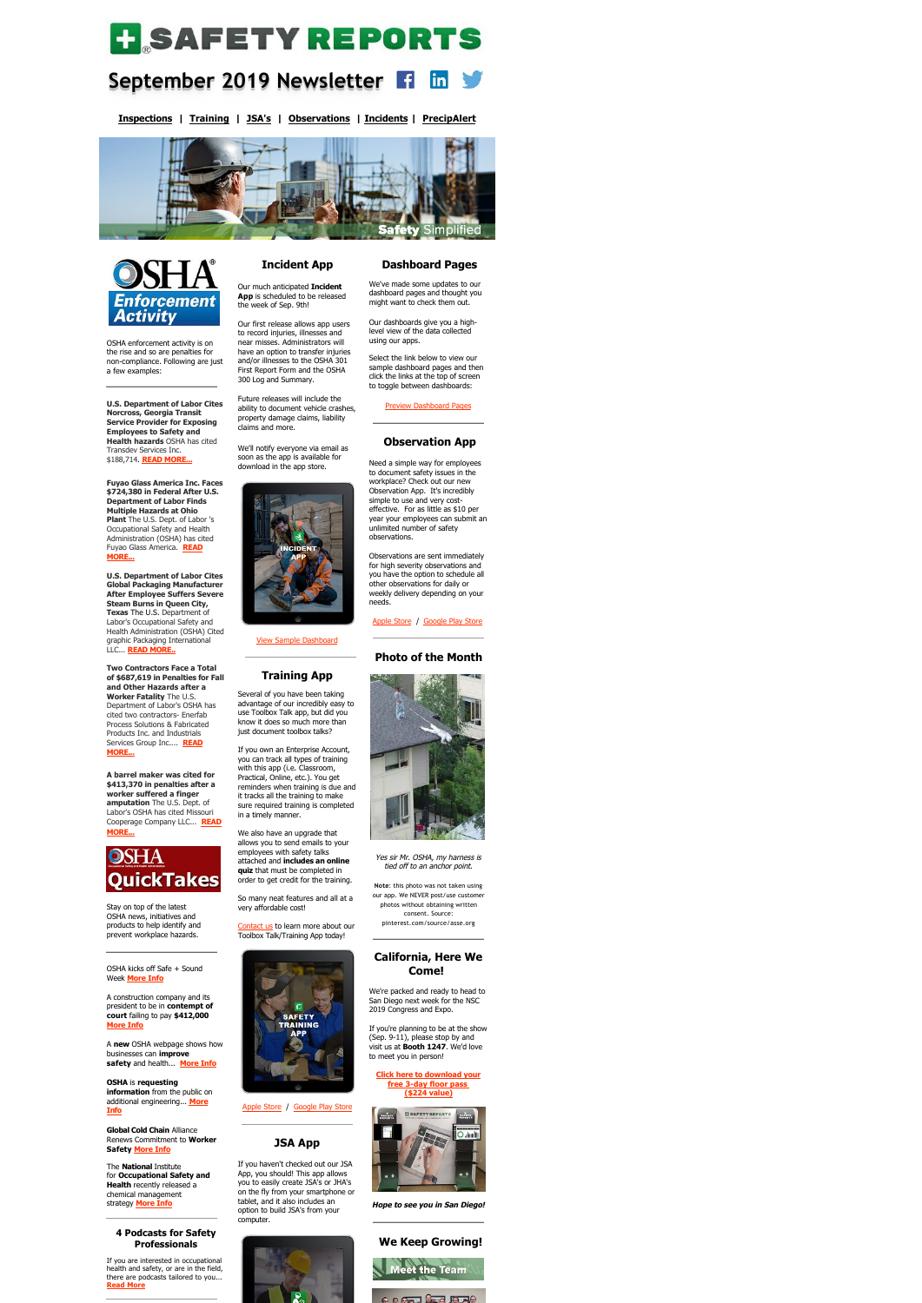# **H**SAFETYREPORTS

#### **September 2019 Newsletter**   $\mathbf{in}$   $\mathbf{y}$

**[Inspections](https://www.safety-reports.com/safety-inspection/) | [Training](https://www.safety-reports.com/safety-training/) | [JSA's](https://www.safety-reports.com/jsa/) | [Observations](https://www.safety-reports.com/safety-observation-app/) | [Incidents](https://www.safety-reports.com/safety-incident-app/) | [PrecipAlert](https://www.safety-reports.com/precipalert/)**





OSHA enforcement activity is on the rise and so are penalties for non-compliance. Following are just a few examples:

**U.S. Department of Labor Cites Norcross, Georgia Transit Service Provider for Exposing Employees to Safety and Health hazards** OSHA has cited Transdev Services Inc. \$188,714. **[READ MORE...](https://www.safety-reports.com/blog/september-enforcement/#georgia)**

**Fuyao Glass America Inc. Faces \$724,380 in Federal After U.S. Department of Labor Finds Multiple Hazards at Ohio Plant** The U.S. Dept. of Labor 's Occupational Safety and Health Administration (OSHA) has cited [Fuyao Glass America.](https://www.safety-reports.com/blog/september-enforcement/#ohio) **READ MORE...**

**U.S. Department of Labor Cites Global Packaging Manufacturer After Employee Suffers Severe Steam Burns in Queen City, Texas** The U.S. Department of Labor's Occupational Safety and Health Administration (OSHA) Cited graphic Packaging International LLC... **[READ MORE..](https://www.safety-reports.com/blog/september-enforcement/#texas)**

**Two Contractors Face a Total of \$687,619 in Penalties for Fall and Other Hazards after a**

**Worker Fatality** The U.S. Department of Labor's OSHA has cited two contractors- Enerfab Process Solutions & Fabricated Products Inc. and Industrials [Services Group Inc....](https://www.safety-reports.com/blog/september-enforcement/#delaware) **READ MORE...**

**A barrel maker was cited for \$413,370 in penalties after a worker suffered a finger amputation** The U.S. Dept. of Labor's OSHA has cited Missouri [Cooperage Company LLC...](https://www.safety-reports.com/blog/september-enforcement/#missouri) **READ MORE...**



advantage of our incredibly easy to use Toolbox Talk app, but did you know it does so much more than just document toolbox talks?

Stay on top of the latest OSHA news, initiatives and products to help identify and prevent workplace hazards.

OSHA kicks off Safe + Sound Week **[More Info](https://www.safety-reports.com/blog/september-quicktakes/#safe)**

A construction company and its president to be in **contempt of court** failing to pay **\$412,000 [More Info](https://www.safety-reports.com/blog/september-quicktakes/#court)**

A **new** OSHA webpage shows how businesses can **improve safety** and health... **[More Info](https://www.safety-reports.com/blog/september-quicktakes/#leading)**

[Contact us](http://safety-reports.com/contact-us) to learn more about our Toolbox Talk/Training App today!



**[OSH](http://www.safety-reports.com/2017/11/28/industry-guide-provides-best-practices-high-school-construction-programs/)A** is **requesting information** from the public on [additional engineering...](https://www.safety-reports.com/blog/september-quicktakes/#silica) **More Info**

**Global Cold Chain** Alliance Renews Commitment to **Worker Safety [More Info](https://www.safety-reports.com/blog/september-quicktakes/#global)**

The **National** Institute for **Occupational Safety and Health** recently released a chemical management strategy **[More Info](https://www.safety-reports.com/blog/september-quicktakes/#chemical)**

#### **4 Podcasts for Safety Professionals**

If you are interested in occupational health and safety, or are in the field, there are podcasts tailored to you... **[Read More](https://www.safety-reports.com/blog/4-podcasts-for-safety-professionals/)**

## **Incident App**

Our much anticipated **Incident App** is scheduled to be released the week of Sep. 9th!

Our first release allows app users to record injuries, illnesses and near misses. Administrators will have an option to transfer injuries and/or illnesses to the OSHA 301 First Report Form and the OSHA 300 Log and Summary.

Future releases will include the ability to document vehicle crashes, property damage claims, liability claims and more.

We'll notify everyone via email as soon as the app is available for download in the app store.



[View Sample Dashboard](https://login.safety-reports.com/AdminDashboardPreview?prid=6)

**Training App** Several of you have been taking



If you own an Enterprise Account, you can track all types of training with this app (i.e. Classroom, Practical, Online, etc.). You get reminders when training is due and it tracks all the training to make sure required training is completed in a timely manner.

We also have an upgrade that allows you to send emails to your employees with safety talks attached and **includes an online quiz** that must be completed in order to get credit for the training.

So many neat features and all at a very affordable cost!

[Apple Store](https://itunes.apple.com/us/app/safety-training-app/id1405771438?mt=8) / [Google Play Store](https://play.google.com/store/apps/details?id=com.safetyreports.training&hl=en)

#### **JSA App**

If you haven't checked out our JSA App, you should! This app allows you to easily create JSA's or JHA's on the fly from your smartphone or tablet, and it also includes an option to build JSA's from your computer.



#### **Dashboard Pages**

We've made some updates to our dashboard pages and thought you might want to check them out.

Our dashboards give you a highlevel view of the data collected using our apps.

Select the link below to view our sample dashboard pages and then click the links at the top of screen to toggle between dashboards:

[Preview Dashboard Pages](https://login.safety-reports.com/AdminDashboardPreview)

#### **Observation App**

Need a simple way for employees to document safety issues in the workplace? Check out our new Observation App. It's incredibly simple to use and very costeffective. For as little as \$10 per year your employees can submit an unlimited number of safety observations.

Observations are sent immediately for high severity observations and you have the option to schedule all other observations for daily or weekly delivery depending on your needs.

#### [Apple Store](https://itunes.apple.com/us/app/safety-obs-app/id1450646285) / [Google Play Store](https://play.google.com/store/apps/details?id=com.safetyreports.obs)

**Photo of the Month**

Yes sir Mr. OSHA, my harness is tied off to an anchor point.

**Note**: this photo was not taken using our app. We NEVER post/use customer photos without obtaining written consent. Source: pinterest.com/source/asse.org

#### **California, Here We Come!**

We're packed and ready to head to San Diego next week for the NSC 2019 Congress and Expo.

If you're planning to be at the show (Sep. 9-11), please stop by and visit us at **Booth 1247**. We'd love to meet you in person!

**[Click here to downloa](https://www.safety-reports.com/events-2019-national-safety-council-congress-expo/nsc-san-diego/)d your free 3-day floor pass (\$224 value)**



**Hope to see you in San Diego!**

#### **We Keep Growing!**

Meet the Team

**CAST STARTED**